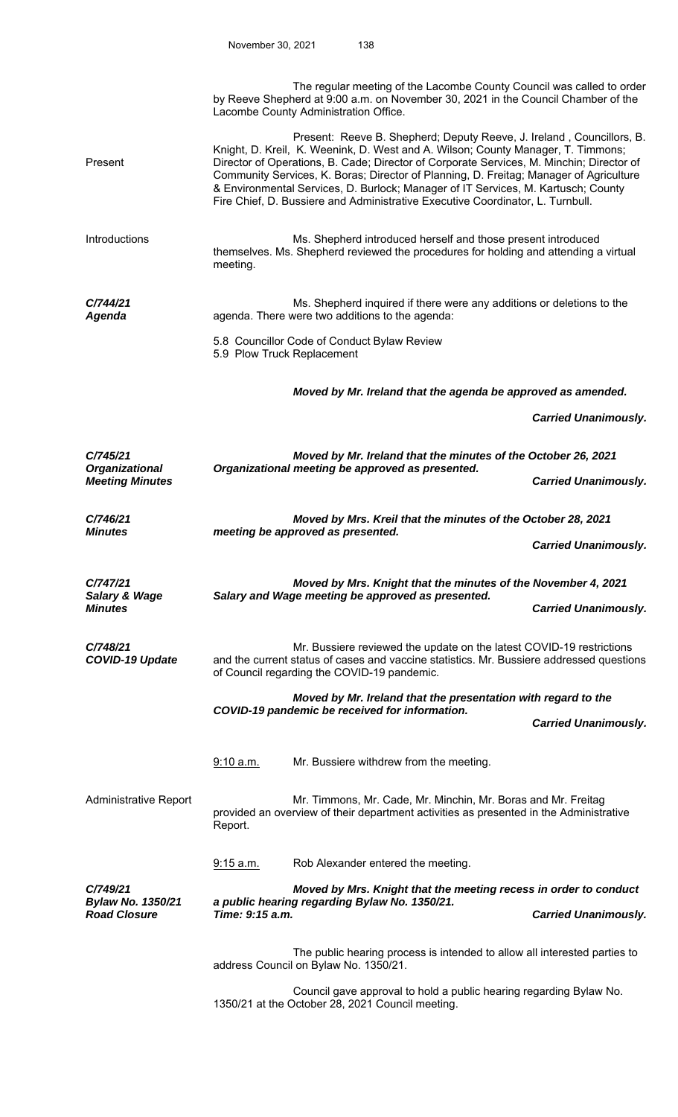|                                                      |                                                                                                                    | The regular meeting of the Lacombe County Council was called to order<br>by Reeve Shepherd at 9:00 a.m. on November 30, 2021 in the Council Chamber of the<br>Lacombe County Administration Office.                                                                                                                                                                                                                                                                                                                    |                             |  |  |  |
|------------------------------------------------------|--------------------------------------------------------------------------------------------------------------------|------------------------------------------------------------------------------------------------------------------------------------------------------------------------------------------------------------------------------------------------------------------------------------------------------------------------------------------------------------------------------------------------------------------------------------------------------------------------------------------------------------------------|-----------------------------|--|--|--|
| Present                                              |                                                                                                                    | Present: Reeve B. Shepherd; Deputy Reeve, J. Ireland, Councillors, B.<br>Knight, D. Kreil, K. Weenink, D. West and A. Wilson; County Manager, T. Timmons;<br>Director of Operations, B. Cade; Director of Corporate Services, M. Minchin; Director of<br>Community Services, K. Boras; Director of Planning, D. Freitag; Manager of Agriculture<br>& Environmental Services, D. Burlock; Manager of IT Services, M. Kartusch; County<br>Fire Chief, D. Bussiere and Administrative Executive Coordinator, L. Turnbull. |                             |  |  |  |
| Introductions                                        | meeting.                                                                                                           | Ms. Shepherd introduced herself and those present introduced<br>themselves. Ms. Shepherd reviewed the procedures for holding and attending a virtual                                                                                                                                                                                                                                                                                                                                                                   |                             |  |  |  |
| C/744/21<br>Agenda                                   |                                                                                                                    | Ms. Shepherd inquired if there were any additions or deletions to the<br>agenda. There were two additions to the agenda:                                                                                                                                                                                                                                                                                                                                                                                               |                             |  |  |  |
|                                                      | 5.9 Plow Truck Replacement                                                                                         | 5.8 Councillor Code of Conduct Bylaw Review                                                                                                                                                                                                                                                                                                                                                                                                                                                                            |                             |  |  |  |
|                                                      | Moved by Mr. Ireland that the agenda be approved as amended.                                                       |                                                                                                                                                                                                                                                                                                                                                                                                                                                                                                                        |                             |  |  |  |
|                                                      |                                                                                                                    |                                                                                                                                                                                                                                                                                                                                                                                                                                                                                                                        | <b>Carried Unanimously.</b> |  |  |  |
| C/745/21                                             | Moved by Mr. Ireland that the minutes of the October 26, 2021                                                      |                                                                                                                                                                                                                                                                                                                                                                                                                                                                                                                        |                             |  |  |  |
| <b>Organizational</b><br><b>Meeting Minutes</b>      |                                                                                                                    | Organizational meeting be approved as presented.                                                                                                                                                                                                                                                                                                                                                                                                                                                                       | <b>Carried Unanimously.</b> |  |  |  |
| C/746/21<br><b>Minutes</b>                           | Moved by Mrs. Kreil that the minutes of the October 28, 2021<br>meeting be approved as presented.                  |                                                                                                                                                                                                                                                                                                                                                                                                                                                                                                                        |                             |  |  |  |
|                                                      |                                                                                                                    |                                                                                                                                                                                                                                                                                                                                                                                                                                                                                                                        | <b>Carried Unanimously.</b> |  |  |  |
| C/747/21<br><b>Salary &amp; Wage</b>                 | Moved by Mrs. Knight that the minutes of the November 4, 2021<br>Salary and Wage meeting be approved as presented. |                                                                                                                                                                                                                                                                                                                                                                                                                                                                                                                        |                             |  |  |  |
| <b>Minutes</b>                                       |                                                                                                                    |                                                                                                                                                                                                                                                                                                                                                                                                                                                                                                                        | <b>Carried Unanimously.</b> |  |  |  |
| C/748/21<br><b>COVID-19 Update</b>                   |                                                                                                                    | Mr. Bussiere reviewed the update on the latest COVID-19 restrictions<br>and the current status of cases and vaccine statistics. Mr. Bussiere addressed questions<br>of Council regarding the COVID-19 pandemic.                                                                                                                                                                                                                                                                                                        |                             |  |  |  |
|                                                      |                                                                                                                    | Moved by Mr. Ireland that the presentation with regard to the<br>COVID-19 pandemic be received for information.                                                                                                                                                                                                                                                                                                                                                                                                        |                             |  |  |  |
|                                                      |                                                                                                                    |                                                                                                                                                                                                                                                                                                                                                                                                                                                                                                                        | <b>Carried Unanimously.</b> |  |  |  |
|                                                      | 9:10 a.m.                                                                                                          | Mr. Bussiere withdrew from the meeting.                                                                                                                                                                                                                                                                                                                                                                                                                                                                                |                             |  |  |  |
| Administrative Report                                | Report.                                                                                                            | Mr. Timmons, Mr. Cade, Mr. Minchin, Mr. Boras and Mr. Freitag<br>provided an overview of their department activities as presented in the Administrative                                                                                                                                                                                                                                                                                                                                                                |                             |  |  |  |
|                                                      | 9:15 a.m.                                                                                                          | Rob Alexander entered the meeting.                                                                                                                                                                                                                                                                                                                                                                                                                                                                                     |                             |  |  |  |
| C/749/21<br>Bylaw No. 1350/21<br><b>Road Closure</b> | Time: 9:15 a.m.                                                                                                    | Moved by Mrs. Knight that the meeting recess in order to conduct<br>a public hearing regarding Bylaw No. 1350/21.                                                                                                                                                                                                                                                                                                                                                                                                      | <b>Carried Unanimously.</b> |  |  |  |
|                                                      |                                                                                                                    | The public hearing process is intended to allow all interested parties to<br>address Council on Bylaw No. 1350/21.                                                                                                                                                                                                                                                                                                                                                                                                     |                             |  |  |  |
|                                                      |                                                                                                                    | Council gave approval to hold a public hearing regarding Bylaw No                                                                                                                                                                                                                                                                                                                                                                                                                                                      |                             |  |  |  |

 Council gave approval to hold a public hearing regarding Bylaw No. 1350/21 at the October 28, 2021 Council meeting.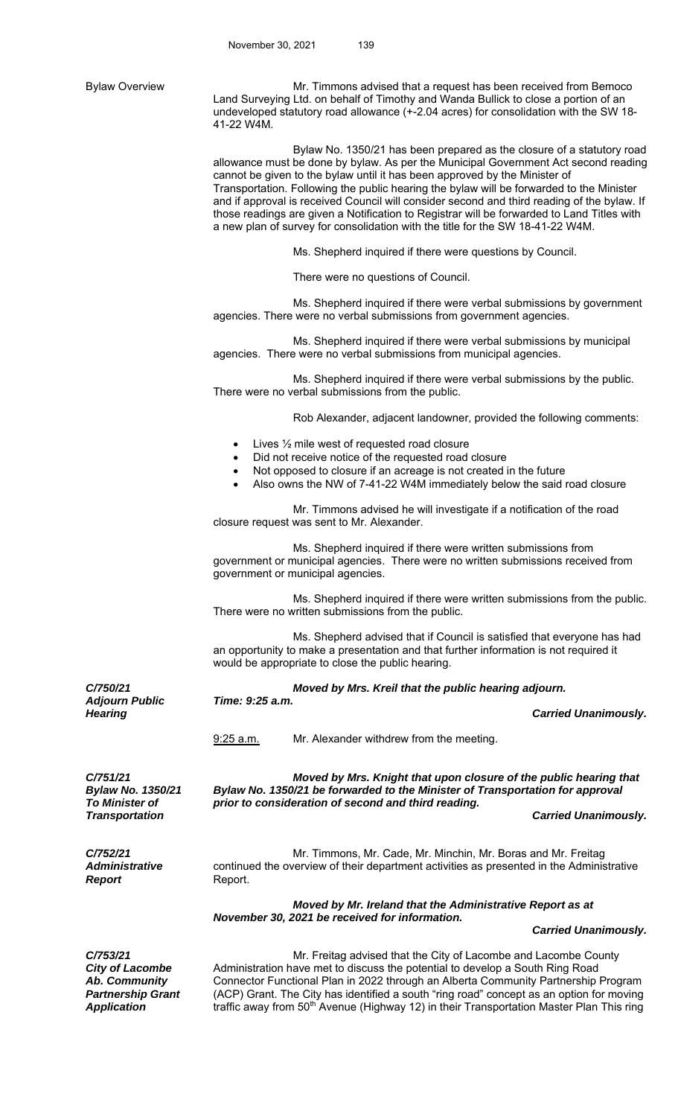Bylaw Overview **Mr. Timmons advised that a request has been received from Bemoco** Land Surveying Ltd. on behalf of Timothy and Wanda Bullick to close a portion of an undeveloped statutory road allowance (+-2.04 acres) for consolidation with the SW 18- 41-22 W4M. Bylaw No. 1350/21 has been prepared as the closure of a statutory road allowance must be done by bylaw. As per the Municipal Government Act second reading cannot be given to the bylaw until it has been approved by the Minister of Transportation. Following the public hearing the bylaw will be forwarded to the Minister and if approval is received Council will consider second and third reading of the bylaw. If those readings are given a Notification to Registrar will be forwarded to Land Titles with a new plan of survey for consolidation with the title for the SW 18-41-22 W4M. Ms. Shepherd inquired if there were questions by Council. There were no questions of Council. Ms. Shepherd inquired if there were verbal submissions by government agencies. There were no verbal submissions from government agencies. Ms. Shepherd inquired if there were verbal submissions by municipal agencies. There were no verbal submissions from municipal agencies. Ms. Shepherd inquired if there were verbal submissions by the public. There were no verbal submissions from the public. Rob Alexander, adjacent landowner, provided the following comments: Lives ½ mile west of requested road closure Did not receive notice of the requested road closure Not opposed to closure if an acreage is not created in the future Also owns the NW of 7-41-22 W4M immediately below the said road closure Mr. Timmons advised he will investigate if a notification of the road closure request was sent to Mr. Alexander. Ms. Shepherd inquired if there were written submissions from government or municipal agencies. There were no written submissions received from government or municipal agencies. Ms. Shepherd inquired if there were written submissions from the public. There were no written submissions from the public. Ms. Shepherd advised that if Council is satisfied that everyone has had an opportunity to make a presentation and that further information is not required it would be appropriate to close the public hearing. *C/750/21 Moved by Mrs. Kreil that the public hearing adjourn. Adjourn Public Time: 9:25 a.m. Hearing* Carried Unanimously. 9:25 a.m. Mr. Alexander withdrew from the meeting. *C/751/21 Bylaw No. 1350/21 To Minister of Moved by Mrs. Knight that upon closure of the public hearing that Bylaw No. 1350/21 be forwarded to the Minister of Transportation for approval prior to consideration of second and third reading. Transportation Carried Unanimously. C/752/21 Administrative Report*  Mr. Timmons, Mr. Cade, Mr. Minchin, Mr. Boras and Mr. Freitag continued the overview of their department activities as presented in the Administrative Report. *Moved by Mr. Ireland that the Administrative Report as at November 30, 2021 be received for information. Carried Unanimously.* 

*C/753/21 City of Lacombe Ab. Community Partnership Grant Application* 

 Mr. Freitag advised that the City of Lacombe and Lacombe County Administration have met to discuss the potential to develop a South Ring Road Connector Functional Plan in 2022 through an Alberta Community Partnership Program (ACP) Grant. The City has identified a south "ring road" concept as an option for moving traffic away from 50<sup>th</sup> Avenue (Highway 12) in their Transportation Master Plan This ring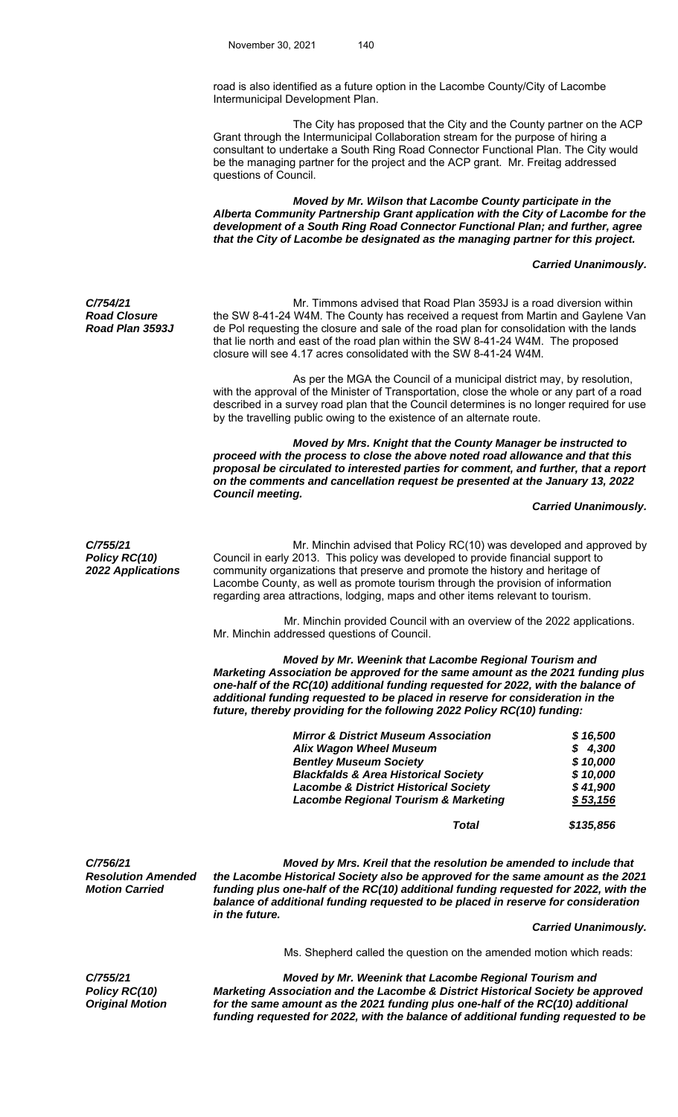road is also identified as a future option in the Lacombe County/City of Lacombe Intermunicipal Development Plan.

 The City has proposed that the City and the County partner on the ACP Grant through the Intermunicipal Collaboration stream for the purpose of hiring a consultant to undertake a South Ring Road Connector Functional Plan. The City would be the managing partner for the project and the ACP grant. Mr. Freitag addressed questions of Council.

 *Moved by Mr. Wilson that Lacombe County participate in the Alberta Community Partnership Grant application with the City of Lacombe for the development of a South Ring Road Connector Functional Plan; and further, agree that the City of Lacombe be designated as the managing partner for this project.* 

## *Carried Unanimously.*

*C/754/21 Road Closure Road Plan 3593J* 

 Mr. Timmons advised that Road Plan 3593J is a road diversion within the SW 8-41-24 W4M. The County has received a request from Martin and Gaylene Van de Pol requesting the closure and sale of the road plan for consolidation with the lands that lie north and east of the road plan within the SW 8-41-24 W4M. The proposed closure will see 4.17 acres consolidated with the SW 8-41-24 W4M.

 As per the MGA the Council of a municipal district may, by resolution, with the approval of the Minister of Transportation, close the whole or any part of a road described in a survey road plan that the Council determines is no longer required for use by the travelling public owing to the existence of an alternate route.

*Moved by Mrs. Knight that the County Manager be instructed to proceed with the process to close the above noted road allowance and that this proposal be circulated to interested parties for comment, and further, that a report on the comments and cancellation request be presented at the January 13, 2022 Council meeting.* 

 *Carried Unanimously.*

*C/755/21 Policy RC(10) 2022 Applications* 

Mr. Minchin advised that Policy RC(10) was developed and approved by Council in early 2013. This policy was developed to provide financial support to community organizations that preserve and promote the history and heritage of Lacombe County, as well as promote tourism through the provision of information regarding area attractions, lodging, maps and other items relevant to tourism.

 Mr. Minchin provided Council with an overview of the 2022 applications. Mr. Minchin addressed questions of Council.

 *Moved by Mr. Weenink that Lacombe Regional Tourism and Marketing Association be approved for the same amount as the 2021 funding plus one-half of the RC(10) additional funding requested for 2022, with the balance of additional funding requested to be placed in reserve for consideration in the future, thereby providing for the following 2022 Policy RC(10) funding:* 

| <b>Mirror &amp; District Museum Association</b>  |           |
|--------------------------------------------------|-----------|
| Alix Wagon Wheel Museum                          | \$4,300   |
| <b>Bentley Museum Society</b>                    | \$10,000  |
| <b>Blackfalds &amp; Area Historical Society</b>  | \$10,000  |
| <b>Lacombe &amp; District Historical Society</b> | \$41,900  |
| <b>Lacombe Regional Tourism &amp; Marketing</b>  | \$53,156  |
| Total                                            | \$135,856 |

*C/756/21 Resolution Amended Motion Carried* 

*Moved by Mrs. Kreil that the resolution be amended to include that the Lacombe Historical Society also be approved for the same amount as the 2021 funding plus one-half of the RC(10) additional funding requested for 2022, with the balance of additional funding requested to be placed in reserve for consideration in the future.*

 *Carried Unanimously.*

Ms. Shepherd called the question on the amended motion which reads:

*C/755/21 Policy RC(10) Original Motion* 

*Moved by Mr. Weenink that Lacombe Regional Tourism and Marketing Association and the Lacombe & District Historical Society be approved for the same amount as the 2021 funding plus one-half of the RC(10) additional funding requested for 2022, with the balance of additional funding requested to be*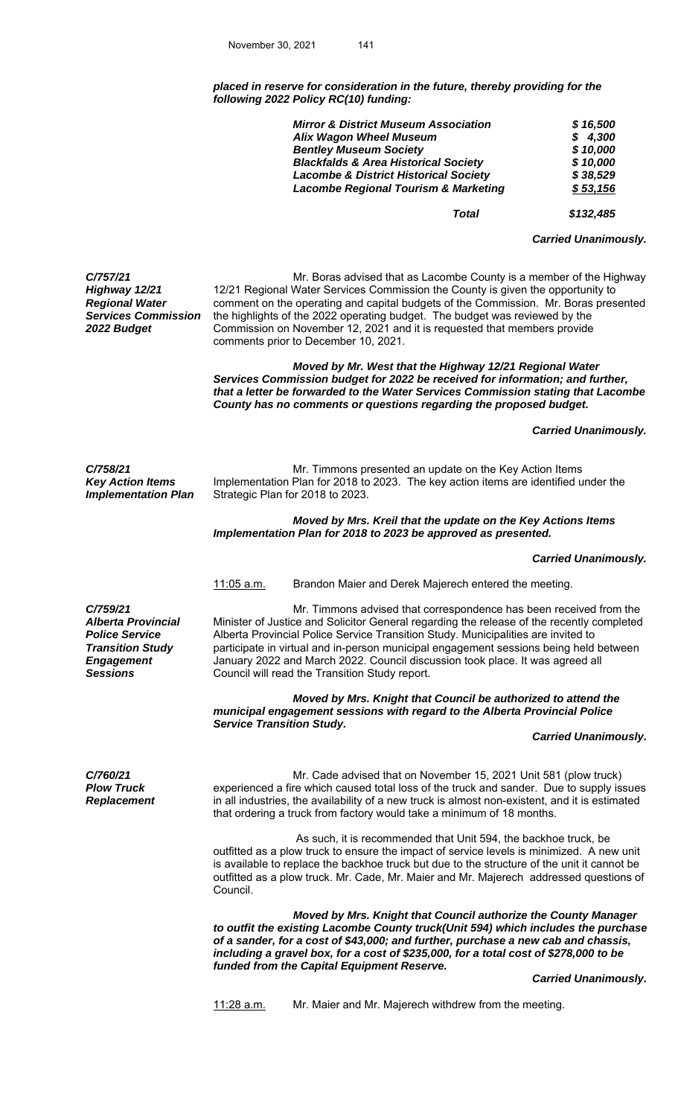*placed in reserve for consideration in the future, thereby providing for the following 2022 Policy RC(10) funding:* 

| <b>Mirror &amp; District Museum Association</b>  |          |
|--------------------------------------------------|----------|
| Alix Wagon Wheel Museum                          | \$4,300  |
| <b>Bentley Museum Society</b>                    | \$10,000 |
| <b>Blackfalds &amp; Area Historical Society</b>  | \$10,000 |
| <b>Lacombe &amp; District Historical Society</b> | \$38,529 |
| <b>Lacombe Regional Tourism &amp; Marketing</b>  | \$53,156 |
|                                                  |          |

 *Total \$132,485* 

 *Carried Unanimously.* 

*Services Commission*  Mr. Boras advised that as Lacombe County is a member of the Highway 12/21 Regional Water Services Commission the County is given the opportunity to comment on the operating and capital budgets of the Commission. Mr. Boras presented the highlights of the 2022 operating budget. The budget was reviewed by the Commission on November 12, 2021 and it is requested that members provide comments prior to December 10, 2021.

> *Moved by Mr. West that the Highway 12/21 Regional Water Services Commission budget for 2022 be received for information; and further, that a letter be forwarded to the Water Services Commission stating that Lacombe County has no comments or questions regarding the proposed budget.*

> > *Carried Unanimously.*

*C/758/21 Key Action Items Implementation Plan* 

*C/757/21 Highway 12/21 Regional Water* 

*2022 Budget* 

Mr. Timmons presented an update on the Key Action Items Implementation Plan for 2018 to 2023. The key action items are identified under the Strategic Plan for 2018 to 2023.

 *Moved by Mrs. Kreil that the update on the Key Actions Items Implementation Plan for 2018 to 2023 be approved as presented.* 

*Carried Unanimously.* 

11:05 a.m. Brandon Maier and Derek Majerech entered the meeting.

*C/759/21 Alberta Provincial Police Service Transition Study Engagement* 

 Mr. Timmons advised that correspondence has been received from the Minister of Justice and Solicitor General regarding the release of the recently completed Alberta Provincial Police Service Transition Study. Municipalities are invited to participate in virtual and in-person municipal engagement sessions being held between January 2022 and March 2022. Council discussion took place. It was agreed all **Sessions Council will read the Transition Study report.** 

> *Moved by Mrs. Knight that Council be authorized to attend the municipal engagement sessions with regard to the Alberta Provincial Police Service Transition Study.*

 *Carried Unanimously.* 

*C/760/21 Plow Truck Replacement* 

Mr. Cade advised that on November 15, 2021 Unit 581 (plow truck) experienced a fire which caused total loss of the truck and sander. Due to supply issues in all industries, the availability of a new truck is almost non-existent, and it is estimated that ordering a truck from factory would take a minimum of 18 months.

 As such, it is recommended that Unit 594, the backhoe truck, be outfitted as a plow truck to ensure the impact of service levels is minimized. A new unit is available to replace the backhoe truck but due to the structure of the unit it cannot be outfitted as a plow truck. Mr. Cade, Mr. Maier and Mr. Majerech addressed questions of Council.

 *Moved by Mrs. Knight that Council authorize the County Manager to outfit the existing Lacombe County truck(Unit 594) which includes the purchase of a sander, for a cost of \$43,000; and further, purchase a new cab and chassis, including a gravel box, for a cost of \$235,000, for a total cost of \$278,000 to be funded from the Capital Equipment Reserve.* 

 *Carried Unanimously.* 

11:28 a.m. Mr. Maier and Mr. Majerech withdrew from the meeting.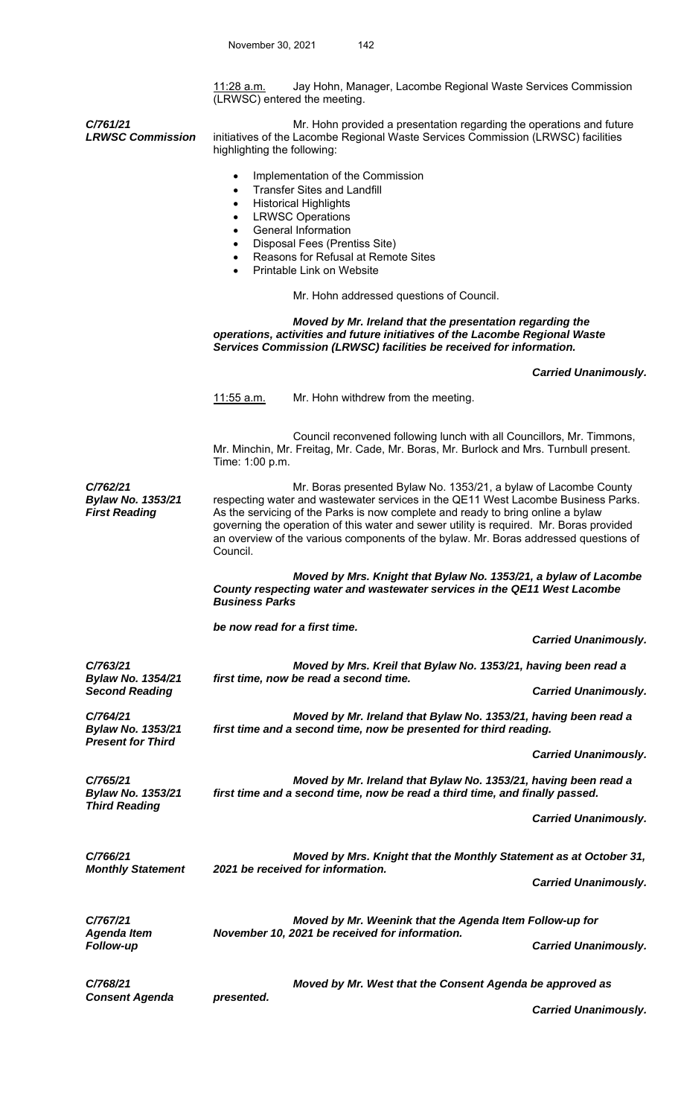11:28 a.m. Jay Hohn, Manager, Lacombe Regional Waste Services Commission (LRWSC) entered the meeting.

*LRWSC Commission*  Mr. Hohn provided a presentation regarding the operations and future initiatives of the Lacombe Regional Waste Services Commission (LRWSC) facilities highlighting the following:

- Transfer Sites and Landfill
- Historical Highlights

*C/761/21* 

*C/763/21* 

*C/764/21* 

*C/765/21* 

*Bylaw No. 1354/21* 

*Bylaw No. 1353/21* 

*Bylaw No. 1353/21* 

*Third Reading* 

*Present for Third* 

- LRWSC Operations
- General Information
- Disposal Fees (Prentiss Site)
- Reasons for Refusal at Remote Sites
- Printable Link on Website

Mr. Hohn addressed questions of Council.

 *Moved by Mr. Ireland that the presentation regarding the operations, activities and future initiatives of the Lacombe Regional Waste Services Commission (LRWSC) facilities be received for information.* 

 *Carried Unanimously.* 

11:55 a.m. Mr. Hohn withdrew from the meeting.

 Council reconvened following lunch with all Councillors, Mr. Timmons, Mr. Minchin, Mr. Freitag, Mr. Cade, Mr. Boras, Mr. Burlock and Mrs. Turnbull present. Time: 1:00 p.m.

*C/762/21 Bylaw No. 1353/21 First Reading* Mr. Boras presented Bylaw No. 1353/21, a bylaw of Lacombe County respecting water and wastewater services in the QE11 West Lacombe Business Parks. As the servicing of the Parks is now complete and ready to bring online a bylaw governing the operation of this water and sewer utility is required. Mr. Boras provided an overview of the various components of the bylaw. Mr. Boras addressed questions of Council.

> *Moved by Mrs. Knight that Bylaw No. 1353/21, a bylaw of Lacombe County respecting water and wastewater services in the QE11 West Lacombe Business Parks*

 *be now read for a first time.* 

 *Carried Unanimously.* 

 *Moved by Mrs. Kreil that Bylaw No. 1353/21, having been read a first time, now be read a second time.* 

**Carried Unanimously.** 

 *Moved by Mr. Ireland that Bylaw No. 1353/21, having been read a first time and a second time, now be presented for third reading.* 

 *Carried Unanimously.* 

 *Moved by Mr. Ireland that Bylaw No. 1353/21, having been read a first time and a second time, now be read a third time, and finally passed.* 

 *Carried Unanimously.* 

*C/766/21 Monthly Statement Moved by Mrs. Knight that the Monthly Statement as at October 31, 2021 be received for information. Carried Unanimously.* 

*C/767/21 Agenda Item Moved by Mr. Weenink that the Agenda Item Follow-up for November 10, 2021 be received for information. Follow-up Carried Unanimously.* 

*C/768/21 Consent Agenda Moved by Mr. West that the Consent Agenda be approved as presented.* 

 *Carried Unanimously.*